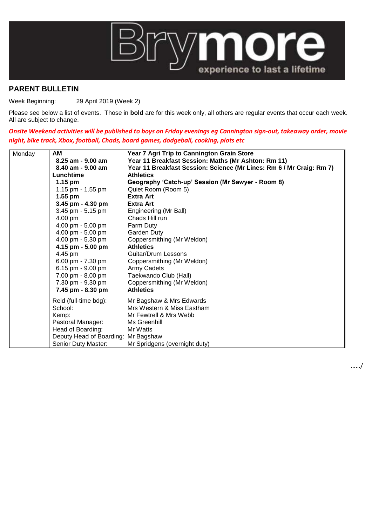

## **PARENT BULLETIN**

Week Beginning: 29 April 2019 (Week 2)

Please see below a list of events. Those in **bold** are for this week only, all others are regular events that occur each week. All are subject to change.

*Onsite Weekend activities will be published to boys on Friday evenings eg Cannington sign-out, takeaway order, movie night, bike track, Xbox, football, Chads, board games, dodgeball, cooking, plots etc*

| Monday | AM                                  | Year 7 Agri Trip to Cannington Grain Store                           |
|--------|-------------------------------------|----------------------------------------------------------------------|
|        | 8.25 am - 9.00 am                   | Year 11 Breakfast Session: Maths (Mr Ashton: Rm 11)                  |
|        | 8.40 am - 9.00 am                   | Year 11 Breakfast Session: Science (Mr Lines: Rm 6 / Mr Craig: Rm 7) |
|        | Lunchtime                           | <b>Athletics</b>                                                     |
|        | $1.15 \text{ pm}$                   | Geography 'Catch-up' Session (Mr Sawyer - Room 8)                    |
|        | 1.15 pm - $1.55$ pm                 | Quiet Room (Room 5)                                                  |
|        | $1.55$ pm                           | <b>Extra Art</b>                                                     |
|        | 3.45 pm $-$ 4.30 pm                 | <b>Extra Art</b>                                                     |
|        | 3.45 pm - 5.15 pm                   | Engineering (Mr Ball)                                                |
|        | 4.00 pm                             | Chads Hill run                                                       |
|        | 4.00 pm - 5.00 pm                   | Farm Duty                                                            |
|        | 4.00 pm - 5.00 pm                   | Garden Duty                                                          |
|        | 4.00 pm - 5.30 pm                   | Coppersmithing (Mr Weldon)                                           |
|        | 4.15 pm - 5.00 pm                   | <b>Athletics</b>                                                     |
|        | 4.45 pm                             | Guitar/Drum Lessons                                                  |
|        | 6.00 pm - $7.30$ pm                 | Coppersmithing (Mr Weldon)                                           |
|        | 6.15 pm - $9.00$ pm                 | Army Cadets                                                          |
|        | 7.00 pm - 8.00 pm                   | Taekwando Club (Hall)                                                |
|        | 7.30 pm - 9.30 pm                   | Coppersmithing (Mr Weldon)                                           |
|        | 7.45 pm - 8.30 pm                   | <b>Athletics</b>                                                     |
|        | Reid (full-time bdg):               | Mr Bagshaw & Mrs Edwards                                             |
|        | School:                             | Mrs Western & Miss Eastham                                           |
|        | Kemp:                               | Mr Fewtrell & Mrs Webb                                               |
|        | Pastoral Manager:                   | Ms Greenhill                                                         |
|        | Head of Boarding:                   | Mr Watts                                                             |
|        | Deputy Head of Boarding: Mr Bagshaw |                                                                      |
|        | Senior Duty Master:                 | Mr Spridgens (overnight duty)                                        |

……/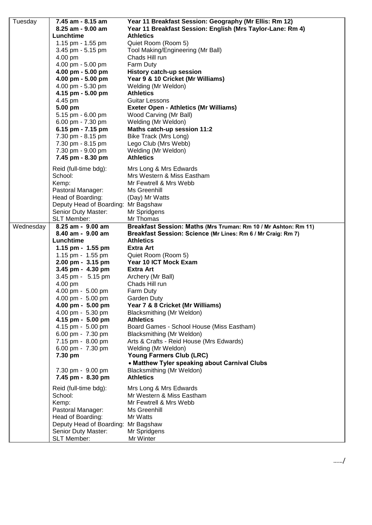| Tuesday   | 7.45 am - 8.15 am                                          | Year 11 Breakfast Session: Geography (Mr Ellis: Rm 12)          |
|-----------|------------------------------------------------------------|-----------------------------------------------------------------|
|           | 8.25 am - 9.00 am                                          | Year 11 Breakfast Session: English (Mrs Taylor-Lane: Rm 4)      |
|           | Lunchtime                                                  | <b>Athletics</b>                                                |
|           | 1.15 pm - 1.55 pm                                          | Quiet Room (Room 5)                                             |
|           | 3.45 pm - 5.15 pm                                          | Tool Making/Engineering (Mr Ball)                               |
|           | 4.00 pm                                                    | Chads Hill run                                                  |
|           | 4.00 pm - 5.00 pm                                          | Farm Duty                                                       |
|           | 4.00 pm - 5.00 pm                                          | <b>History catch-up session</b>                                 |
|           | 4.00 pm - 5.00 pm                                          | Year 9 & 10 Cricket (Mr Williams)                               |
|           | 4.00 pm - 5.30 pm                                          | Welding (Mr Weldon)                                             |
|           | 4.15 pm - 5.00 pm                                          | <b>Athletics</b>                                                |
|           | 4.45 pm                                                    | Guitar Lessons                                                  |
|           | 5.00 pm                                                    | <b>Exeter Open - Athletics (Mr Williams)</b>                    |
|           | 5.15 pm - 6.00 pm                                          | Wood Carving (Mr Ball)                                          |
|           | 6.00 pm - 7.30 pm                                          | Welding (Mr Weldon)                                             |
|           | 6.15 pm - 7.15 pm                                          | Maths catch-up session 11:2                                     |
|           | 7.30 pm - 8.15 pm                                          | <b>Bike Track (Mrs Long)</b>                                    |
|           | 7.30 pm - 8.15 pm                                          | Lego Club (Mrs Webb)                                            |
|           | 7.30 pm - 9.00 pm                                          | Welding (Mr Weldon)                                             |
|           | 7.45 pm - 8.30 pm                                          | <b>Athletics</b>                                                |
|           |                                                            |                                                                 |
|           | Reid (full-time bdg):                                      | Mrs Long & Mrs Edwards                                          |
|           | School:                                                    | Mrs Western & Miss Eastham                                      |
|           | Kemp:                                                      | Mr Fewtrell & Mrs Webb                                          |
|           | Pastoral Manager:                                          | Ms Greenhill                                                    |
|           | Head of Boarding:                                          | (Day) Mr Watts                                                  |
|           | Deputy Head of Boarding: Mr Bagshaw<br>Senior Duty Master: | Mr Spridgens                                                    |
|           | SLT Member:                                                | Mr Thomas                                                       |
| Wednesday | 8.25 am - 9.00 am                                          | Breakfast Session: Maths (Mrs Truman: Rm 10 / Mr Ashton: Rm 11) |
|           | 8.40 am - 9.00 am                                          | Breakfast Session: Science (Mr Lines: Rm 6 / Mr Craig: Rm 7)    |
|           |                                                            |                                                                 |
|           |                                                            |                                                                 |
|           | Lunchtime                                                  | <b>Athletics</b><br><b>Extra Art</b>                            |
|           | 1.15 pm - 1.55 pm<br>1.15 pm - $1.55$ pm                   |                                                                 |
|           | 2.00 pm - 3.15 pm                                          | Quiet Room (Room 5)<br>Year 10 ICT Mock Exam                    |
|           | 3.45 pm - 4.30 pm                                          | Extra Art                                                       |
|           | 3.45 pm - 5.15 pm                                          | Archery (Mr Ball)                                               |
|           | 4.00 pm                                                    | Chads Hill run                                                  |
|           | 4.00 pm - 5.00 pm                                          | Farm Duty                                                       |
|           | $4.00 \text{ pm} - 5.00 \text{ pm}$                        | Garden Duty                                                     |
|           | 4.00 pm - 5.00 pm                                          | Year 7 & 8 Cricket (Mr Williams)                                |
|           | 4.00 pm - 5.30 pm                                          | Blacksmithing (Mr Weldon)                                       |
|           | 4.15 pm - 5.00 pm                                          | <b>Athletics</b>                                                |
|           | 4.15 pm - 5.00 pm                                          | Board Games - School House (Miss Eastham)                       |
|           | 6.00 pm - 7.30 pm                                          | Blacksmithing (Mr Weldon)                                       |
|           | 7.15 pm - 8.00 pm                                          | Arts & Crafts - Reid House (Mrs Edwards)                        |
|           | 6.00 pm - 7.30 pm                                          | Welding (Mr Weldon)                                             |
|           | 7.30 pm                                                    | Young Farmers Club (LRC)                                        |
|           |                                                            | • Matthew Tyler speaking about Carnival Clubs                   |
|           | 7.30 pm - 9.00 pm                                          | Blacksmithing (Mr Weldon)                                       |
|           | 7.45 pm - 8.30 pm                                          | <b>Athletics</b>                                                |
|           | Reid (full-time bdg):                                      | Mrs Long & Mrs Edwards                                          |
|           | School:                                                    | Mr Western & Miss Eastham                                       |
|           | Kemp:                                                      | Mr Fewtrell & Mrs Webb                                          |
|           | Pastoral Manager:                                          | Ms Greenhill                                                    |
|           | Head of Boarding:                                          | Mr Watts                                                        |
|           | Deputy Head of Boarding: Mr Bagshaw                        |                                                                 |
|           | Senior Duty Master:<br>SLT Member:                         | Mr Spridgens<br>Mr Winter                                       |

……/